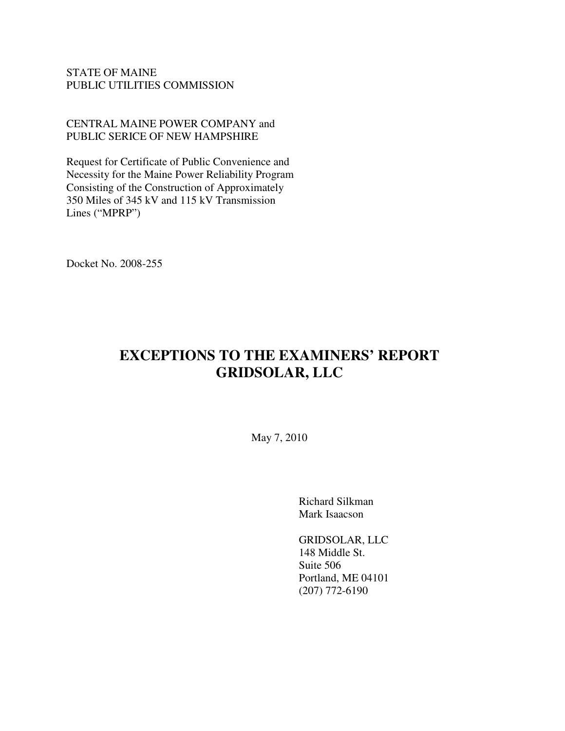### STATE OF MAINE PUBLIC UTILITIES COMMISSION

CENTRAL MAINE POWER COMPANY and PUBLIC SERICE OF NEW HAMPSHIRE

Request for Certificate of Public Convenience and Necessity for the Maine Power Reliability Program Consisting of the Construction of Approximately 350 Miles of 345 kV and 115 kV Transmission Lines ("MPRP")

Docket No. 2008-255

# **EXCEPTIONS TO THE EXAMINERS' REPORT GRIDSOLAR, LLC**

May 7, 2010

Richard Silkman Mark Isaacson

GRIDSOLAR, LLC 148 Middle St. Suite 506 Portland, ME 04101 (207) 772-6190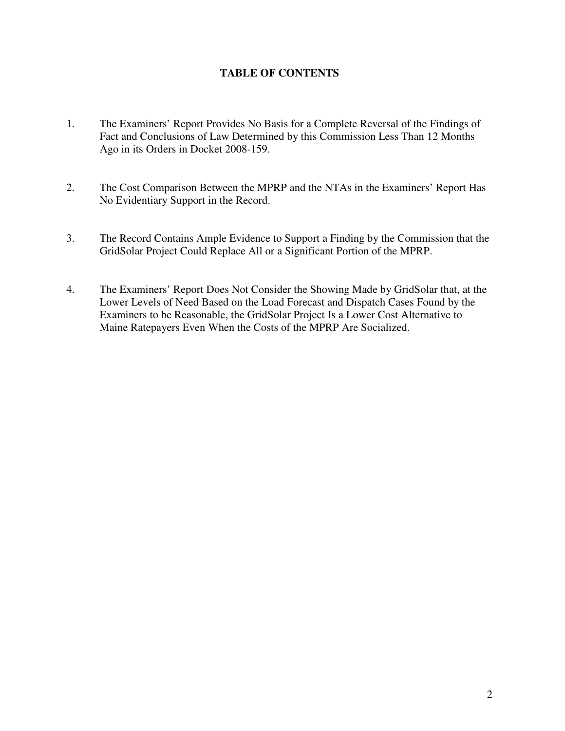## **TABLE OF CONTENTS**

- 1. The Examiners' Report Provides No Basis for a Complete Reversal of the Findings of Fact and Conclusions of Law Determined by this Commission Less Than 12 Months Ago in its Orders in Docket 2008-159.
- 2. The Cost Comparison Between the MPRP and the NTAs in the Examiners' Report Has No Evidentiary Support in the Record.
- 3. The Record Contains Ample Evidence to Support a Finding by the Commission that the GridSolar Project Could Replace All or a Significant Portion of the MPRP.
- 4. The Examiners' Report Does Not Consider the Showing Made by GridSolar that, at the Lower Levels of Need Based on the Load Forecast and Dispatch Cases Found by the Examiners to be Reasonable, the GridSolar Project Is a Lower Cost Alternative to Maine Ratepayers Even When the Costs of the MPRP Are Socialized.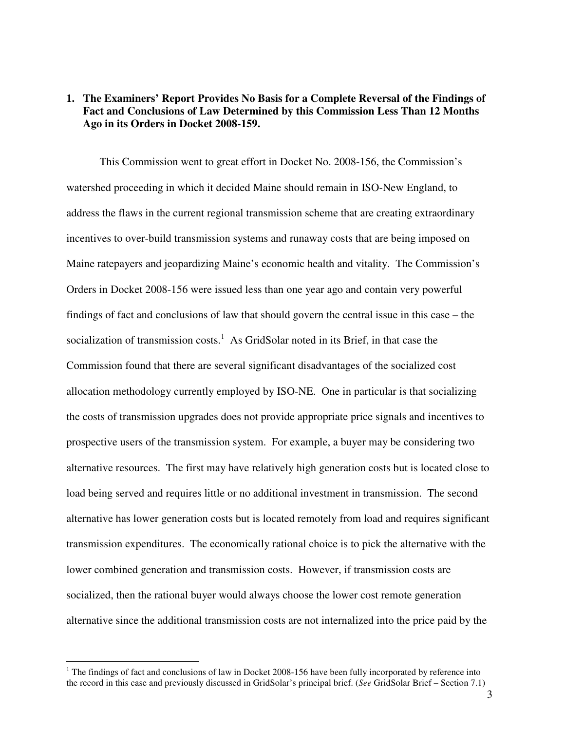#### **1. The Examiners' Report Provides No Basis for a Complete Reversal of the Findings of Fact and Conclusions of Law Determined by this Commission Less Than 12 Months Ago in its Orders in Docket 2008-159.**

 This Commission went to great effort in Docket No. 2008-156, the Commission's watershed proceeding in which it decided Maine should remain in ISO-New England, to address the flaws in the current regional transmission scheme that are creating extraordinary incentives to over-build transmission systems and runaway costs that are being imposed on Maine ratepayers and jeopardizing Maine's economic health and vitality. The Commission's Orders in Docket 2008-156 were issued less than one year ago and contain very powerful findings of fact and conclusions of law that should govern the central issue in this case – the socialization of transmission costs.<sup>1</sup> As GridSolar noted in its Brief, in that case the Commission found that there are several significant disadvantages of the socialized cost allocation methodology currently employed by ISO-NE. One in particular is that socializing the costs of transmission upgrades does not provide appropriate price signals and incentives to prospective users of the transmission system. For example, a buyer may be considering two alternative resources. The first may have relatively high generation costs but is located close to load being served and requires little or no additional investment in transmission. The second alternative has lower generation costs but is located remotely from load and requires significant transmission expenditures. The economically rational choice is to pick the alternative with the lower combined generation and transmission costs. However, if transmission costs are socialized, then the rational buyer would always choose the lower cost remote generation alternative since the additional transmission costs are not internalized into the price paid by the

 $\overline{a}$ 

 $1$  The findings of fact and conclusions of law in Docket 2008-156 have been fully incorporated by reference into the record in this case and previously discussed in GridSolar's principal brief. (*See* GridSolar Brief – Section 7.1)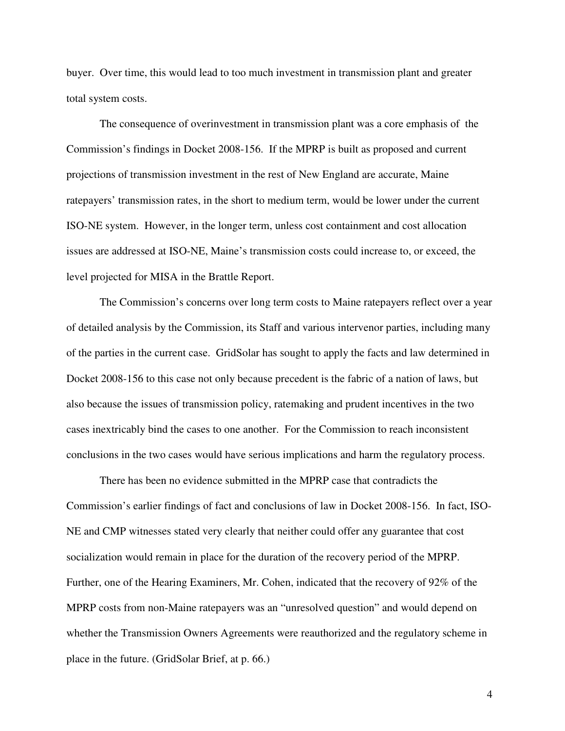buyer. Over time, this would lead to too much investment in transmission plant and greater total system costs.

 The consequence of overinvestment in transmission plant was a core emphasis of the Commission's findings in Docket 2008-156. If the MPRP is built as proposed and current projections of transmission investment in the rest of New England are accurate, Maine ratepayers' transmission rates, in the short to medium term, would be lower under the current ISO-NE system. However, in the longer term, unless cost containment and cost allocation issues are addressed at ISO-NE, Maine's transmission costs could increase to, or exceed, the level projected for MISA in the Brattle Report.

 The Commission's concerns over long term costs to Maine ratepayers reflect over a year of detailed analysis by the Commission, its Staff and various intervenor parties, including many of the parties in the current case. GridSolar has sought to apply the facts and law determined in Docket 2008-156 to this case not only because precedent is the fabric of a nation of laws, but also because the issues of transmission policy, ratemaking and prudent incentives in the two cases inextricably bind the cases to one another. For the Commission to reach inconsistent conclusions in the two cases would have serious implications and harm the regulatory process.

 There has been no evidence submitted in the MPRP case that contradicts the Commission's earlier findings of fact and conclusions of law in Docket 2008-156. In fact, ISO-NE and CMP witnesses stated very clearly that neither could offer any guarantee that cost socialization would remain in place for the duration of the recovery period of the MPRP. Further, one of the Hearing Examiners, Mr. Cohen, indicated that the recovery of 92% of the MPRP costs from non-Maine ratepayers was an "unresolved question" and would depend on whether the Transmission Owners Agreements were reauthorized and the regulatory scheme in place in the future. (GridSolar Brief, at p. 66.)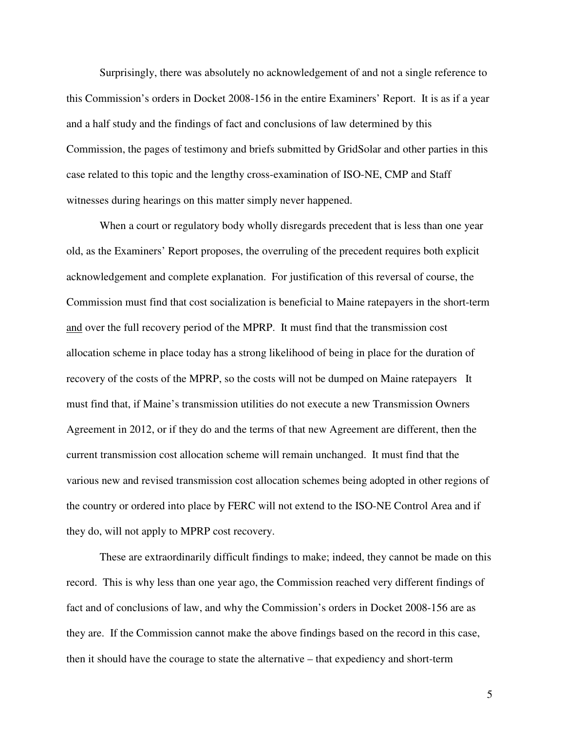Surprisingly, there was absolutely no acknowledgement of and not a single reference to this Commission's orders in Docket 2008-156 in the entire Examiners' Report. It is as if a year and a half study and the findings of fact and conclusions of law determined by this Commission, the pages of testimony and briefs submitted by GridSolar and other parties in this case related to this topic and the lengthy cross-examination of ISO-NE, CMP and Staff witnesses during hearings on this matter simply never happened.

 When a court or regulatory body wholly disregards precedent that is less than one year old, as the Examiners' Report proposes, the overruling of the precedent requires both explicit acknowledgement and complete explanation. For justification of this reversal of course, the Commission must find that cost socialization is beneficial to Maine ratepayers in the short-term and over the full recovery period of the MPRP. It must find that the transmission cost allocation scheme in place today has a strong likelihood of being in place for the duration of recovery of the costs of the MPRP, so the costs will not be dumped on Maine ratepayers It must find that, if Maine's transmission utilities do not execute a new Transmission Owners Agreement in 2012, or if they do and the terms of that new Agreement are different, then the current transmission cost allocation scheme will remain unchanged. It must find that the various new and revised transmission cost allocation schemes being adopted in other regions of the country or ordered into place by FERC will not extend to the ISO-NE Control Area and if they do, will not apply to MPRP cost recovery.

 These are extraordinarily difficult findings to make; indeed, they cannot be made on this record. This is why less than one year ago, the Commission reached very different findings of fact and of conclusions of law, and why the Commission's orders in Docket 2008-156 are as they are. If the Commission cannot make the above findings based on the record in this case, then it should have the courage to state the alternative – that expediency and short-term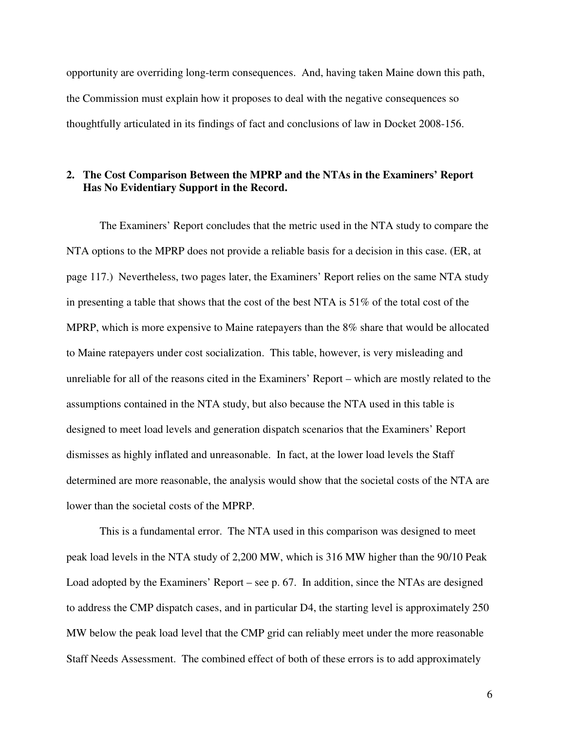opportunity are overriding long-term consequences. And, having taken Maine down this path, the Commission must explain how it proposes to deal with the negative consequences so thoughtfully articulated in its findings of fact and conclusions of law in Docket 2008-156.

#### **2. The Cost Comparison Between the MPRP and the NTAs in the Examiners' Report Has No Evidentiary Support in the Record.**

 The Examiners' Report concludes that the metric used in the NTA study to compare the NTA options to the MPRP does not provide a reliable basis for a decision in this case. (ER, at page 117.) Nevertheless, two pages later, the Examiners' Report relies on the same NTA study in presenting a table that shows that the cost of the best NTA is 51% of the total cost of the MPRP, which is more expensive to Maine ratepayers than the 8% share that would be allocated to Maine ratepayers under cost socialization. This table, however, is very misleading and unreliable for all of the reasons cited in the Examiners' Report – which are mostly related to the assumptions contained in the NTA study, but also because the NTA used in this table is designed to meet load levels and generation dispatch scenarios that the Examiners' Report dismisses as highly inflated and unreasonable. In fact, at the lower load levels the Staff determined are more reasonable, the analysis would show that the societal costs of the NTA are lower than the societal costs of the MPRP.

 This is a fundamental error. The NTA used in this comparison was designed to meet peak load levels in the NTA study of 2,200 MW, which is 316 MW higher than the 90/10 Peak Load adopted by the Examiners' Report – see p. 67. In addition, since the NTAs are designed to address the CMP dispatch cases, and in particular D4, the starting level is approximately 250 MW below the peak load level that the CMP grid can reliably meet under the more reasonable Staff Needs Assessment. The combined effect of both of these errors is to add approximately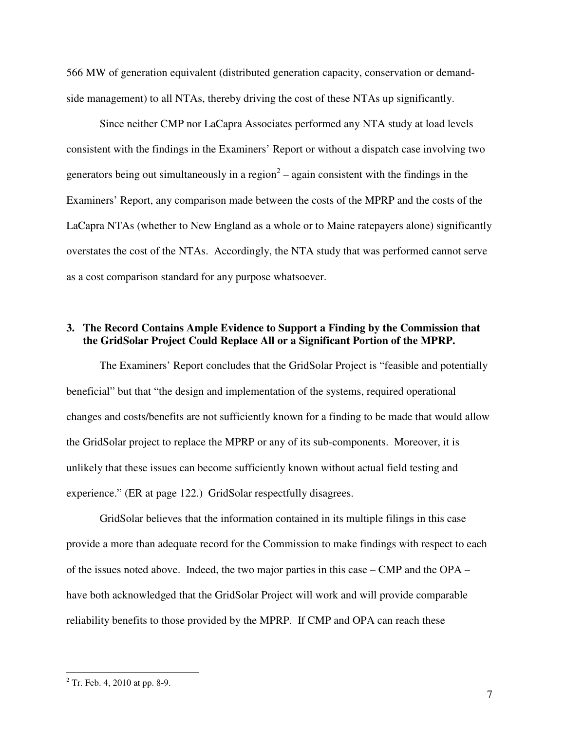566 MW of generation equivalent (distributed generation capacity, conservation or demandside management) to all NTAs, thereby driving the cost of these NTAs up significantly.

 Since neither CMP nor LaCapra Associates performed any NTA study at load levels consistent with the findings in the Examiners' Report or without a dispatch case involving two generators being out simultaneously in a region<sup>2</sup> – again consistent with the findings in the Examiners' Report, any comparison made between the costs of the MPRP and the costs of the LaCapra NTAs (whether to New England as a whole or to Maine ratepayers alone) significantly overstates the cost of the NTAs. Accordingly, the NTA study that was performed cannot serve as a cost comparison standard for any purpose whatsoever.

#### **3. The Record Contains Ample Evidence to Support a Finding by the Commission that the GridSolar Project Could Replace All or a Significant Portion of the MPRP.**

The Examiners' Report concludes that the GridSolar Project is "feasible and potentially beneficial" but that "the design and implementation of the systems, required operational changes and costs/benefits are not sufficiently known for a finding to be made that would allow the GridSolar project to replace the MPRP or any of its sub-components. Moreover, it is unlikely that these issues can become sufficiently known without actual field testing and experience." (ER at page 122.) GridSolar respectfully disagrees.

GridSolar believes that the information contained in its multiple filings in this case provide a more than adequate record for the Commission to make findings with respect to each of the issues noted above. Indeed, the two major parties in this case – CMP and the OPA – have both acknowledged that the GridSolar Project will work and will provide comparable reliability benefits to those provided by the MPRP. If CMP and OPA can reach these

<sup>&</sup>lt;sup>2</sup> Tr. Feb. 4, 2010 at pp. 8-9.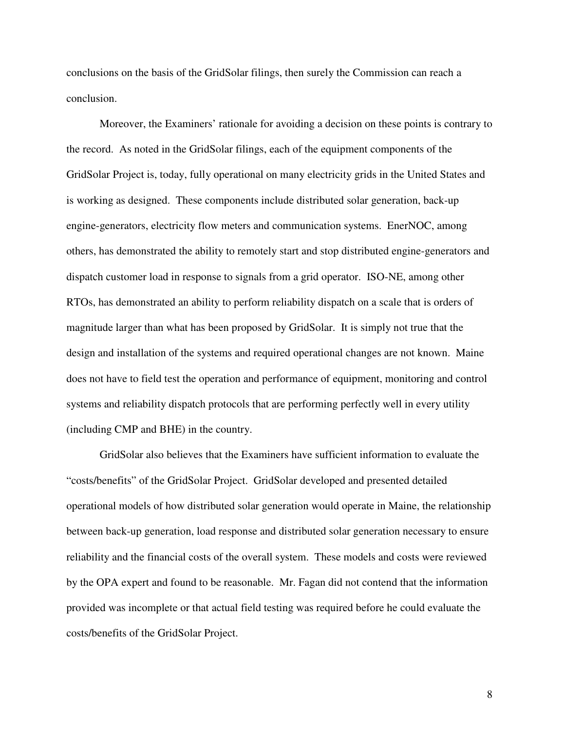conclusions on the basis of the GridSolar filings, then surely the Commission can reach a conclusion.

Moreover, the Examiners' rationale for avoiding a decision on these points is contrary to the record. As noted in the GridSolar filings, each of the equipment components of the GridSolar Project is, today, fully operational on many electricity grids in the United States and is working as designed. These components include distributed solar generation, back-up engine-generators, electricity flow meters and communication systems. EnerNOC, among others, has demonstrated the ability to remotely start and stop distributed engine-generators and dispatch customer load in response to signals from a grid operator. ISO-NE, among other RTOs, has demonstrated an ability to perform reliability dispatch on a scale that is orders of magnitude larger than what has been proposed by GridSolar. It is simply not true that the design and installation of the systems and required operational changes are not known. Maine does not have to field test the operation and performance of equipment, monitoring and control systems and reliability dispatch protocols that are performing perfectly well in every utility (including CMP and BHE) in the country.

GridSolar also believes that the Examiners have sufficient information to evaluate the "costs/benefits" of the GridSolar Project. GridSolar developed and presented detailed operational models of how distributed solar generation would operate in Maine, the relationship between back-up generation, load response and distributed solar generation necessary to ensure reliability and the financial costs of the overall system. These models and costs were reviewed by the OPA expert and found to be reasonable. Mr. Fagan did not contend that the information provided was incomplete or that actual field testing was required before he could evaluate the costs/benefits of the GridSolar Project.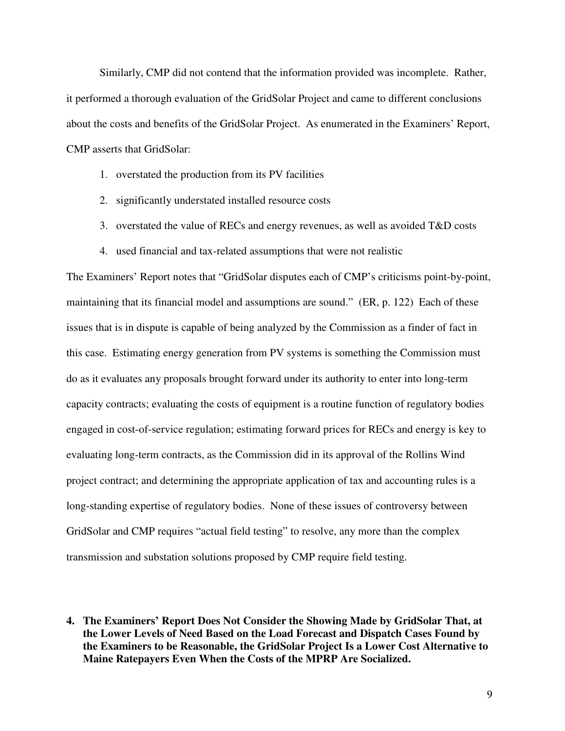Similarly, CMP did not contend that the information provided was incomplete. Rather, it performed a thorough evaluation of the GridSolar Project and came to different conclusions about the costs and benefits of the GridSolar Project. As enumerated in the Examiners' Report, CMP asserts that GridSolar:

- 1. overstated the production from its PV facilities
- 2. significantly understated installed resource costs
- 3. overstated the value of RECs and energy revenues, as well as avoided T&D costs
- 4. used financial and tax-related assumptions that were not realistic

The Examiners' Report notes that "GridSolar disputes each of CMP's criticisms point-by-point, maintaining that its financial model and assumptions are sound." (ER, p. 122) Each of these issues that is in dispute is capable of being analyzed by the Commission as a finder of fact in this case. Estimating energy generation from PV systems is something the Commission must do as it evaluates any proposals brought forward under its authority to enter into long-term capacity contracts; evaluating the costs of equipment is a routine function of regulatory bodies engaged in cost-of-service regulation; estimating forward prices for RECs and energy is key to evaluating long-term contracts, as the Commission did in its approval of the Rollins Wind project contract; and determining the appropriate application of tax and accounting rules is a long-standing expertise of regulatory bodies. None of these issues of controversy between GridSolar and CMP requires "actual field testing" to resolve, any more than the complex transmission and substation solutions proposed by CMP require field testing.

**4. The Examiners' Report Does Not Consider the Showing Made by GridSolar That, at the Lower Levels of Need Based on the Load Forecast and Dispatch Cases Found by the Examiners to be Reasonable, the GridSolar Project Is a Lower Cost Alternative to Maine Ratepayers Even When the Costs of the MPRP Are Socialized.**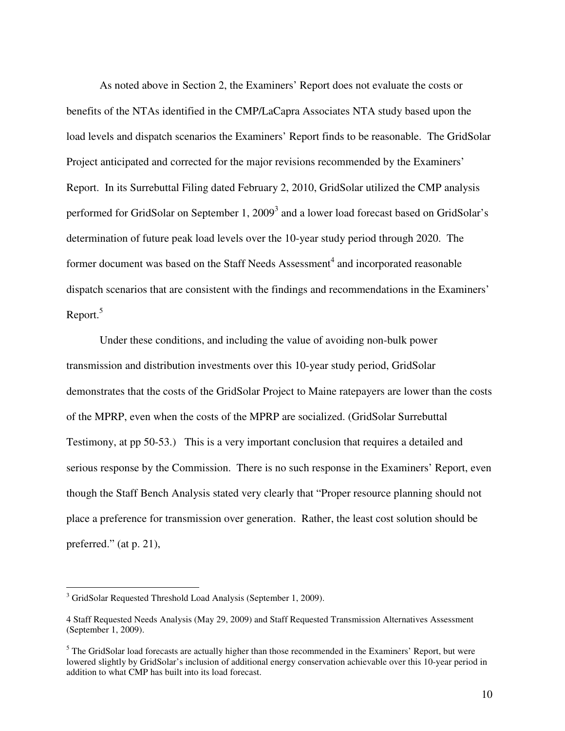As noted above in Section 2, the Examiners' Report does not evaluate the costs or benefits of the NTAs identified in the CMP/LaCapra Associates NTA study based upon the load levels and dispatch scenarios the Examiners' Report finds to be reasonable. The GridSolar Project anticipated and corrected for the major revisions recommended by the Examiners' Report. In its Surrebuttal Filing dated February 2, 2010, GridSolar utilized the CMP analysis performed for GridSolar on September 1, 2009<sup>3</sup> and a lower load forecast based on GridSolar's determination of future peak load levels over the 10-year study period through 2020. The former document was based on the Staff Needs Assessment<sup>4</sup> and incorporated reasonable dispatch scenarios that are consistent with the findings and recommendations in the Examiners' Report.<sup>5</sup>

 Under these conditions, and including the value of avoiding non-bulk power transmission and distribution investments over this 10-year study period, GridSolar demonstrates that the costs of the GridSolar Project to Maine ratepayers are lower than the costs of the MPRP, even when the costs of the MPRP are socialized. (GridSolar Surrebuttal Testimony, at pp 50-53.) This is a very important conclusion that requires a detailed and serious response by the Commission. There is no such response in the Examiners' Report, even though the Staff Bench Analysis stated very clearly that "Proper resource planning should not place a preference for transmission over generation. Rather, the least cost solution should be preferred." (at p. 21),

 $\overline{a}$ 

<sup>&</sup>lt;sup>3</sup> GridSolar Requested Threshold Load Analysis (September 1, 2009).

<sup>4</sup> Staff Requested Needs Analysis (May 29, 2009) and Staff Requested Transmission Alternatives Assessment (September 1, 2009).

<sup>&</sup>lt;sup>5</sup> The GridSolar load forecasts are actually higher than those recommended in the Examiners' Report, but were lowered slightly by GridSolar's inclusion of additional energy conservation achievable over this 10-year period in addition to what CMP has built into its load forecast.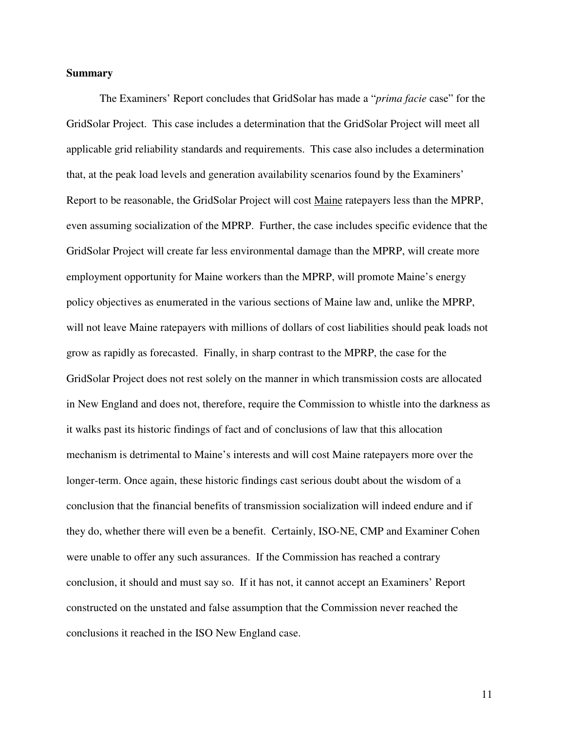#### **Summary**

 The Examiners' Report concludes that GridSolar has made a "*prima facie* case" for the GridSolar Project. This case includes a determination that the GridSolar Project will meet all applicable grid reliability standards and requirements. This case also includes a determination that, at the peak load levels and generation availability scenarios found by the Examiners' Report to be reasonable, the GridSolar Project will cost Maine ratepayers less than the MPRP, even assuming socialization of the MPRP. Further, the case includes specific evidence that the GridSolar Project will create far less environmental damage than the MPRP, will create more employment opportunity for Maine workers than the MPRP, will promote Maine's energy policy objectives as enumerated in the various sections of Maine law and, unlike the MPRP, will not leave Maine ratepayers with millions of dollars of cost liabilities should peak loads not grow as rapidly as forecasted. Finally, in sharp contrast to the MPRP, the case for the GridSolar Project does not rest solely on the manner in which transmission costs are allocated in New England and does not, therefore, require the Commission to whistle into the darkness as it walks past its historic findings of fact and of conclusions of law that this allocation mechanism is detrimental to Maine's interests and will cost Maine ratepayers more over the longer-term. Once again, these historic findings cast serious doubt about the wisdom of a conclusion that the financial benefits of transmission socialization will indeed endure and if they do, whether there will even be a benefit. Certainly, ISO-NE, CMP and Examiner Cohen were unable to offer any such assurances. If the Commission has reached a contrary conclusion, it should and must say so. If it has not, it cannot accept an Examiners' Report constructed on the unstated and false assumption that the Commission never reached the conclusions it reached in the ISO New England case.